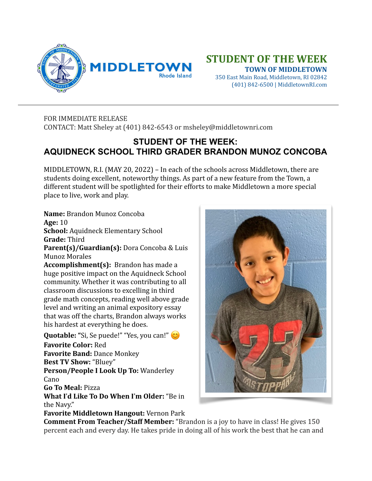

## **STUDENT OF THE WEEK**

 **TOWN OF MIDDLETOWN** 350 East Main Road, Middletown, RI 02842 (401) 842-6500 | MiddletownRI.com

## FOR IMMEDIATE RELEASE CONTACT: Matt Sheley at (401) 842-6543 or msheley@middletownri.com

## **STUDENT OF THE WEEK: AQUIDNECK SCHOOL THIRD GRADER BRANDON MUNOZ CONCOBA**

MIDDLETOWN, R.I. (MAY 20, 2022) – In each of the schools across Middletown, there are students doing excellent, noteworthy things. As part of a new feature from the Town, a different student will be spotlighted for their efforts to make Middletown a more special place to live, work and play.

Name: Brandon Munoz Concoba **Age:** 10 **School:** Aquidneck Elementary School **Grade:** Third

**Parent(s)/Guardian(s):** Dora Concoba & Luis Munoz Morales 

**Accomplishment(s):** Brandon has made a huge positive impact on the Aquidneck School community. Whether it was contributing to all classroom discussions to excelling in third grade math concepts, reading well above grade level and writing an animal expository essay that was off the charts, Brandon always works his hardest at everything he does.

**Quotable:** "Si, Se puede!" "Yes, you can!"  $\circledcirc$ **Favorite Color: Red Favorite Band: Dance Monkey Best TV Show: "Bluey" Person/People I Look Up To: Wanderley** Cano **Go To Meal:** Pizza **What I'd Like To Do When I'm Older:** "Be in the Navy."

**Favorite Middletown Hangout: Vernon Park** 



**Comment From Teacher/Staff Member:** "Brandon is a joy to have in class! He gives 150 percent each and every day. He takes pride in doing all of his work the best that he can and